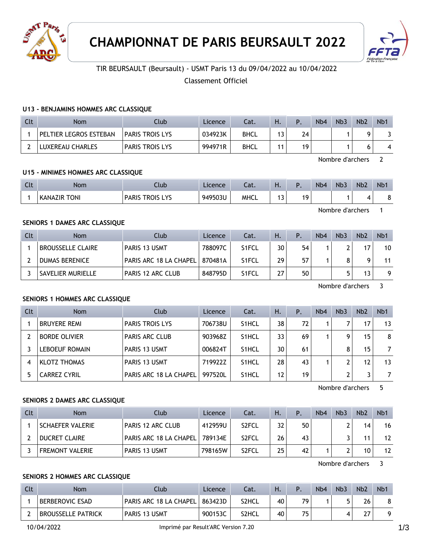



# TIR BEURSAULT (Beursault) - USMT Paris 13 du 09/04/2022 au 10/04/2022

Classement Officiel

### **U13 - BENJAMINS HOMMES ARC CLASSIQUE**

| Clt | Nom                    | Club                   | Licence | Cat.        | Η.      |    | N <sub>b</sub> 4 | Nb <sub>3</sub> | Nb <sub>2</sub> | Nb <sup>1</sup> |
|-----|------------------------|------------------------|---------|-------------|---------|----|------------------|-----------------|-----------------|-----------------|
|     | PELTIER LEGROS ESTEBAN | <b>PARIS TROIS LYS</b> | 034923K | <b>BHCL</b> | 12<br>◡ | 74 |                  |                 |                 |                 |
|     | LUXEREAU CHARLES       | <b>PARIS TROIS LYS</b> | 994971R | <b>BHCL</b> | 14      | 19 |                  |                 |                 |                 |

Nombre d'archers 2

Nombre d'archers 1

# **U15 - MINIMES HOMMES ARC CLASSIQUE**

| C14<br>๛ | Nom               | Jlub                                           | Licence | $\sim$<br>-al. | . .                  |    | N <sub>b</sub> 4 | Nb <sub>3</sub> | Nb <sub>2</sub> | N <sub>b</sub> |
|----------|-------------------|------------------------------------------------|---------|----------------|----------------------|----|------------------|-----------------|-----------------|----------------|
|          | . TONI<br>KANAZIR | <b>VS</b><br><b>TROIS</b><br><b>PARIS</b><br>_ | 949503L | <b>MHCL</b>    | $\rightarrow$<br>. J | 19 |                  |                 |                 | ີ              |

**SENIORS 1 DAMES ARC CLASSIQUE**

| Clt | Nom                      | Club                             | Licence | Cat.               | Η. | P  | N <sub>b</sub> 4 | Nb <sub>3</sub> | Nb <sub>2</sub> | Nb <sub>1</sub> |
|-----|--------------------------|----------------------------------|---------|--------------------|----|----|------------------|-----------------|-----------------|-----------------|
|     | <b>BROUSSELLE CLAIRE</b> | <b>PARIS 13 USMT</b>             | 788097C | S <sub>1</sub> FCL | 30 | 54 |                  |                 | 17              | 10              |
|     | DUMAS BERENICE           | PARIS ARC 18 LA CHAPEL   870481A |         | S <sub>1</sub> FCL | 29 | 57 |                  | 8               |                 | 11              |
|     | ' SAVELIER MURIELLE      | <b>PARIS 12 ARC CLUB</b>         | 848795D | S <sub>1</sub> FCL | 27 | 50 |                  |                 | 13              | 9               |

Nombre d'archers 3

# **SENIORS 1 HOMMES ARC CLASSIQUE**

| Clt | <b>Nom</b>            | Club                   | Licence | Cat.               | Η. | $\mathsf{P}$ . | N <sub>b</sub> 4 | Nb <sub>3</sub> | Nb <sub>2</sub> | N <sub>b</sub> 1 |
|-----|-----------------------|------------------------|---------|--------------------|----|----------------|------------------|-----------------|-----------------|------------------|
|     | <b>BRUYERE REMI</b>   | <b>PARIS TROIS LYS</b> | 706738U | S <sub>1</sub> HCL | 38 | 72             |                  |                 | 17              | 13               |
|     | <b>BORDE OLIVIER</b>  | <b>PARIS ARC CLUB</b>  | 903968Z | S <sub>1</sub> HCL | 33 | 69             |                  | Q               | 15              | 8                |
|     | <b>LEBOEUF ROMAIN</b> | PARIS 13 USMT          | 006824T | S <sub>1</sub> HCL | 30 | 61             |                  | 8               | 15              |                  |
|     | <b>KLOTZ THOMAS</b>   | PARIS 13 USMT          | 719922Z | S <sub>1</sub> HCL | 28 | 43             |                  |                 | 12              | 13               |
|     | <b>CARREZ CYRIL</b>   | PARIS ARC 18 LA CHAPEL | 997520L | S <sub>1</sub> HCL | 12 | 19             |                  | ◠               |                 |                  |

Nombre d'archers 5

# **SENIORS 2 DAMES ARC CLASSIQUE**

| Clt | Nom                     | Club                     | Licence | Cat.               | Н. | $P_{\rm c}$ | N <sub>b</sub> 4 | Nb <sub>3</sub> | Nb <sub>2</sub> | N <sub>b</sub> 1 |
|-----|-------------------------|--------------------------|---------|--------------------|----|-------------|------------------|-----------------|-----------------|------------------|
|     | <b>SCHAEFER VALERIE</b> | <b>PARIS 12 ARC CLUB</b> | 412959U | S <sub>2</sub> FCL | 32 | 50          |                  |                 | 14              | 16               |
|     | <b>DUCRET CLAIRE</b>    | PARIS ARC 18 LA CHAPEL F | 789134E | S <sub>2</sub> FCL | 26 | 43          |                  |                 | 11              | 12               |
|     | <b>FREMONT VALERIE</b>  | <b>PARIS 13 USMT</b>     | 798165W | S <sub>2</sub> FCL | 25 | 42          |                  |                 | 10              | 12               |

Nombre d'archers 3

### **SENIORS 2 HOMMES ARC CLASSIQUE**

| Clt | <b>Nom</b>                | Club                             | Licence | Cat.         | Н. |    | N <sub>b</sub> 4 | Nb <sub>3</sub> | Nb <sub>2</sub> | N <sub>b</sub> 1 |
|-----|---------------------------|----------------------------------|---------|--------------|----|----|------------------|-----------------|-----------------|------------------|
|     | <b>BERBEROVIC ESAD</b>    | PARIS ARC 18 LA CHAPEL   863423D |         | <b>S2HCL</b> | 40 | 70 |                  |                 | 26              |                  |
|     | <b>BROUSSELLE PATRICK</b> | PARIS 13 USMT                    | 900153C | S2HCL        | 40 | フロ |                  |                 | 27<br>,,        |                  |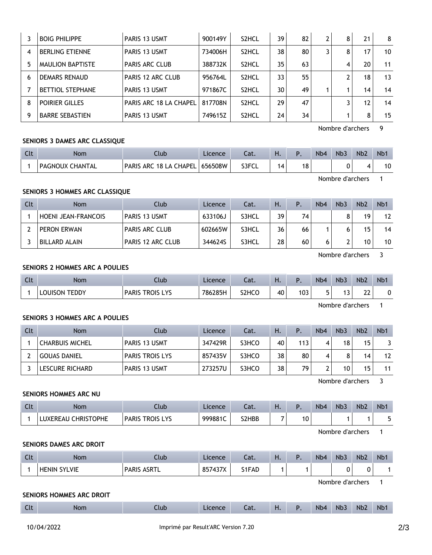|   | <b>BOIG PHILIPPE</b>    | PARIS 13 USMT          | 900149Y | S <sub>2</sub> HCL | 39 | 82 | 8 | 21 | 8  |
|---|-------------------------|------------------------|---------|--------------------|----|----|---|----|----|
| 4 | <b>BERLING ETIENNE</b>  | PARIS 13 USMT          | 734006H | S <sub>2</sub> HCL | 38 | 80 | 8 | 17 | 10 |
| 5 | <b>MAULION BAPTISTE</b> | <b>PARIS ARC CLUB</b>  | 388732K | S <sub>2</sub> HCL | 35 | 63 | 4 | 20 | 11 |
| 6 | <b>DEMARS RENAUD</b>    | PARIS 12 ARC CLUB      | 956764L | S <sub>2</sub> HCL | 33 | 55 |   | 18 | 13 |
|   | <b>BETTIOL STEPHANE</b> | PARIS 13 USMT          | 971867C | S <sub>2</sub> HCL | 30 | 49 |   | 14 | 14 |
| 8 | POIRIER GILLES          | PARIS ARC 18 LA CHAPEL | 817708N | S <sub>2</sub> HCL | 29 | 47 |   | 12 | 14 |
| 9 | <b>BARRE SEBASTIEN</b>  | PARIS 13 USMT          | 749615Z | S <sub>2</sub> HCL | 24 | 34 |   | 8  | 15 |

Nombre d'archers 9

# **SENIORS 3 DAMES ARC CLASSIQUE**

| $\sim$<br>นเ | Nom                    | Llub                                | Licence | cal.  | п. |    | Nb <sub>4</sub> | N <sub>b</sub> 3 | Nb <sub>2</sub> | N <sub>b</sub> |
|--------------|------------------------|-------------------------------------|---------|-------|----|----|-----------------|------------------|-----------------|----------------|
|              | <b>PAGNOUX CHANTAL</b> | 18 LA CHAPEL<br><b>PARIS</b><br>ARC | 656508W | S3FCL | 4  | 18 |                 |                  |                 | 10             |

Nombre d'archers 1

# **SENIORS 3 HOMMES ARC CLASSIQUE**

| Clt | <b>Nom</b>          | Club                     | Licence | Cat.  | H. | Þ  | Nb4 | Nb <sub>3</sub> | Nb <sub>2</sub> | N <sub>b</sub> 1 |
|-----|---------------------|--------------------------|---------|-------|----|----|-----|-----------------|-----------------|------------------|
|     | HOENI JEAN-FRANCOIS | <b>PARIS 13 USMT</b>     | 633106. | S3HCL | 39 | 74 |     |                 | 19              | 12               |
|     | PERON ERWAN         | <b>PARIS ARC CLUB</b>    | 602665W | S3HCL | 36 | 66 |     |                 | 15              | 14               |
|     | BILLARD ALAIN       | <b>PARIS 12 ARC CLUB</b> | 3446245 | S3HCL | 28 | 60 |     |                 | 10              | 10               |

Nombre d'archers 3

# **SENIORS 2 HOMMES ARC A POULIES**

| Clt | Nom                       | Ilub                                       | Licence | Cat.  | п. |     | N <sub>b</sub> 4 | Nb <sub>3</sub> | N <sub>b</sub> 2 | Nb |
|-----|---------------------------|--------------------------------------------|---------|-------|----|-----|------------------|-----------------|------------------|----|
|     | <b>TEDDY</b><br>LOUISON T | <b>LYS</b><br><b>TROIS</b><br><b>PARIS</b> | 786285H | S2HCO | 40 | 103 |                  | כ ו<br>ر        | ົາາ<br>∠∠        |    |

Nombre d'archers 1

## **SENIORS 3 HOMMES ARC A POULIES**

| Clt | <b>Nom</b>      | Club                   | Licence | Cat.  | Ή. | $P_{\rm{L}}$ | N <sub>b</sub> 4 | Nb <sub>3</sub> | Nb <sub>2</sub> | N <sub>b</sub> 1 |
|-----|-----------------|------------------------|---------|-------|----|--------------|------------------|-----------------|-----------------|------------------|
|     | CHARBUIS MICHEL | PARIS 13 USMT          | 347429R | S3HCO | 40 | 113          |                  | 18              | 15              |                  |
|     | GOUAS DANIEL    | <b>PARIS TROIS LYS</b> | 857435V | S3HCO | 38 | 80           | 4                |                 | 14              | 12               |
|     | LESCURE RICHARD | PARIS 13 USMT          | 273257U | S3HCO | 38 | 79           |                  | 10              | 15              | 11               |

Nombre d'archers 3

#### **SENIORS HOMMES ARC NU**

| $\sim$<br>Ult | Nom                           | Club                                       | Licence | Cat.  | ப<br>VП. |    | N <sub>b</sub> 4 | Nb <sub>3</sub> | N <sub>b</sub> 2 | Nb <sup>-</sup> |
|---------------|-------------------------------|--------------------------------------------|---------|-------|----------|----|------------------|-----------------|------------------|-----------------|
|               | <b>CHRISTOPHE</b><br>LUXEREAU | <b>LYS</b><br><b>TROIS</b><br><b>PARIS</b> | 999881C | S2HBB | -        | 10 |                  |                 |                  |                 |

Nombre d'archers 1

# **SENIORS DAMES ARC DROIT**

| Clt | <b>Nom</b>          | Jlub                    | Licence | Lat.  | п. | Nb <sub>4</sub> | Nb <sub>3</sub> | Nb <sub>2</sub> | N <sub>b</sub> |
|-----|---------------------|-------------------------|---------|-------|----|-----------------|-----------------|-----------------|----------------|
|     | <b>HENIN SYLVIE</b> | <b>PARIS</b><br>` ASRTL | 857437X | S1FAD |    |                 |                 | ັ               |                |

Nombre d'archers 1

#### **SENIORS HOMMES ARC DROIT**

| $-1$<br>$-1$ | <b>Contract Contract</b><br>יייש | .lub | l IC t | Lat. | $\sim$<br>. . | Nb <sub>4</sub> | Nb <sub>3</sub> | Nb <sup>7</sup> | <b>Nb</b> |
|--------------|----------------------------------|------|--------|------|---------------|-----------------|-----------------|-----------------|-----------|
|              |                                  |      |        |      |               |                 |                 |                 |           |